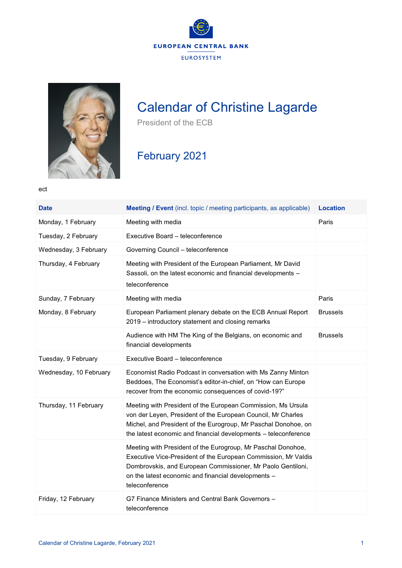



## Calendar of Christine Lagarde

President of the ECB

## February 2021

ect

| <b>Date</b>            | <b>Meeting / Event</b> (incl. topic / meeting participants, as applicable)                                                                                                                                                                                             | <b>Location</b> |
|------------------------|------------------------------------------------------------------------------------------------------------------------------------------------------------------------------------------------------------------------------------------------------------------------|-----------------|
| Monday, 1 February     | Meeting with media                                                                                                                                                                                                                                                     | Paris           |
| Tuesday, 2 February    | Executive Board - teleconference                                                                                                                                                                                                                                       |                 |
| Wednesday, 3 February  | Governing Council - teleconference                                                                                                                                                                                                                                     |                 |
| Thursday, 4 February   | Meeting with President of the European Parliament, Mr David<br>Sassoli, on the latest economic and financial developments -<br>teleconference                                                                                                                          |                 |
| Sunday, 7 February     | Meeting with media                                                                                                                                                                                                                                                     | Paris           |
| Monday, 8 February     | European Parliament plenary debate on the ECB Annual Report<br>2019 – introductory statement and closing remarks                                                                                                                                                       | <b>Brussels</b> |
|                        | Audience with HM The King of the Belgians, on economic and<br>financial developments                                                                                                                                                                                   | <b>Brussels</b> |
| Tuesday, 9 February    | Executive Board - teleconference                                                                                                                                                                                                                                       |                 |
| Wednesday, 10 February | Economist Radio Podcast in conversation with Ms Zanny Minton<br>Beddoes, The Economist's editor-in-chief, on "How can Europe<br>recover from the economic consequences of covid-19?"                                                                                   |                 |
| Thursday, 11 February  | Meeting with President of the European Commission, Ms Ursula<br>von der Leyen, President of the European Council, Mr Charles<br>Michel, and President of the Eurogroup, Mr Paschal Donohoe, on<br>the latest economic and financial developments - teleconference      |                 |
|                        | Meeting with President of the Eurogroup, Mr Paschal Donohoe,<br>Executive Vice-President of the European Commission, Mr Valdis<br>Dombrovskis, and European Commissioner, Mr Paolo Gentiloni,<br>on the latest economic and financial developments -<br>teleconference |                 |
| Friday, 12 February    | G7 Finance Ministers and Central Bank Governors -<br>teleconference                                                                                                                                                                                                    |                 |